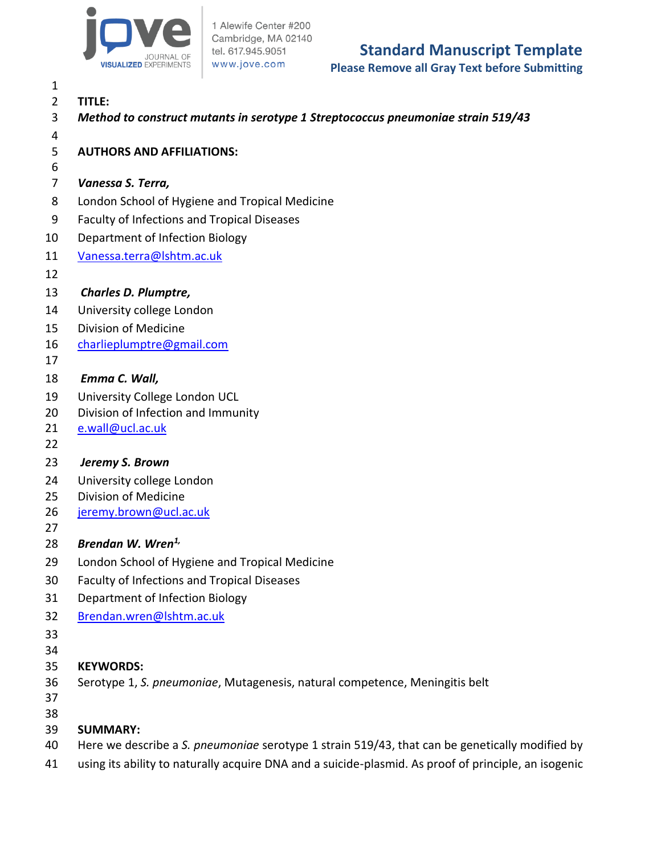

1 Alewife Center #200 Cambridge, MA 02140 tel. 617.945.9051 www.jove.com

# **Standard Manuscript Template**

**Please Remove all Gray Text before Submitting**

 **TITLE:** *Method to construct mutants in serotype 1 Streptococcus pneumoniae strain 519/43*  **AUTHORS AND AFFILIATIONS:** *Vanessa S. Terra,* London School of Hygiene and Tropical Medicine Faculty of Infections and Tropical Diseases Department of Infection Biology [Vanessa.terra@lshtm.ac.uk](file:///C:/Users/Vanessa%20Terra/Downloads/Vanessa.terra@lshtm.ac.uk) *Charles D. Plumptre,* University college London Division of Medicine [charlieplumptre@gmail.com](mailto:charlieplumptre@gmail.com) *Emma C. Wall,* University College London UCL Division of Infection and Immunity [e.wall@ucl.ac.uk](file:///C:/Users/Vanessa%20Terra/Downloads/e.wall@ucl.ac.uk) *Jeremy S. Brown* University college London Division of Medicine [jeremy.brown@ucl.ac.uk](mailto:jeremy.brown@ucl.ac.uk) *Brendan W. Wren1,* London School of Hygiene and Tropical Medicine Faculty of Infections and Tropical Diseases Department of Infection Biology [Brendan.wren@lshtm.ac.uk](mailto:Brendan.wren@lshtm.ac.uk) **KEYWORDS:** Serotype 1, *S. pneumoniae*, Mutagenesis, natural competence, Meningitis belt **SUMMARY:** Here we describe a *S. pneumoniae* serotype 1 strain 519/43, that can be genetically modified by using its ability to naturally acquire DNA and a suicide-plasmid. As proof of principle, an isogenic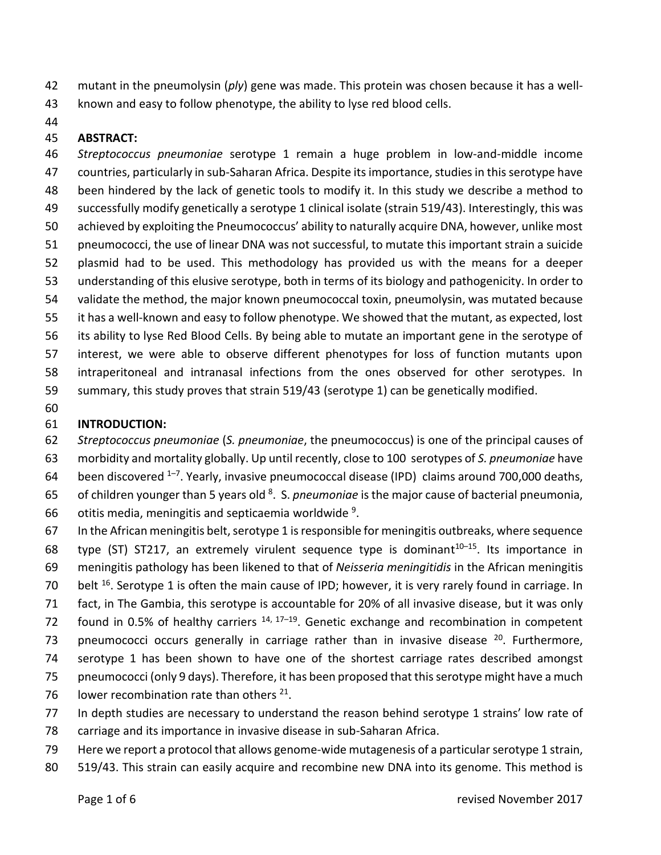- mutant in the pneumolysin (*ply*) gene was made. This protein was chosen because it has a well-
- known and easy to follow phenotype, the ability to lyse red blood cells.
- 

### **ABSTRACT:**

 *Streptococcus pneumoniae* serotype 1 remain a huge problem in low-and-middle income countries, particularly in sub-Saharan Africa. Despite its importance, studies in this serotype have been hindered by the lack of genetic tools to modify it. In this study we describe a method to successfully modify genetically a serotype 1 clinical isolate (strain 519/43). Interestingly, this was achieved by exploiting the Pneumococcus' ability to naturally acquire DNA, however, unlike most pneumococci, the use of linear DNA was not successful, to mutate this important strain a suicide plasmid had to be used. This methodology has provided us with the means for a deeper understanding of this elusive serotype, both in terms of its biology and pathogenicity. In order to validate the method, the major known pneumococcal toxin, pneumolysin, was mutated because it has a well-known and easy to follow phenotype. We showed that the mutant, as expected, lost its ability to lyse Red Blood Cells. By being able to mutate an important gene in the serotype of interest, we were able to observe different phenotypes for loss of function mutants upon intraperitoneal and intranasal infections from the ones observed for other serotypes. In summary, this study proves that strain 519/43 (serotype 1) can be genetically modified.

## **INTRODUCTION:**

 *Streptococcus pneumoniae* (*S. pneumoniae*, the pneumococcus) is one of the principal causes of morbidity and mortality globally. Up until recently, close to 100 serotypes of *S. pneumoniae* have 64 been discovered  $1-7$ . Yearly, invasive pneumococcal disease (IPD) claims around 700,000 deaths, of children younger than 5 years old <sup>8</sup> . S. *pneumoniae* is the major cause of bacterial pneumonia,

- 66 otitis media, meningitis and septicaemia worldwide .
- In the African meningitis belt, serotype 1 is responsible for meningitis outbreaks, where sequence 68 type (ST) ST217, an extremely virulent sequence type is dominant<sup>10-15</sup>. Its importance in
- meningitis pathology has been likened to that of *Neisseria meningitidis* in the African meningitis
- 70 belt <sup>16</sup>. Serotype 1 is often the main cause of IPD; however, it is very rarely found in carriage. In
- fact, in The Gambia, this serotype is accountable for 20% of all invasive disease, but it was only
- 72 found in 0.5% of healthy carriers  $14, 17-19$ . Genetic exchange and recombination in competent
- 73 pneumococci occurs generally in carriage rather than in invasive disease . Furthermore,
- serotype 1 has been shown to have one of the shortest carriage rates described amongst
- pneumococci (only 9 days). Therefore, it has been proposed that this serotype might have a much
- 76 lower recombination rate than others .
- In depth studies are necessary to understand the reason behind serotype 1 strains' low rate of
- carriage and its importance in invasive disease in sub-Saharan Africa.
- Here we report a protocol that allows genome-wide mutagenesis of a particularserotype 1 strain,
- 519/43. This strain can easily acquire and recombine new DNA into its genome. This method is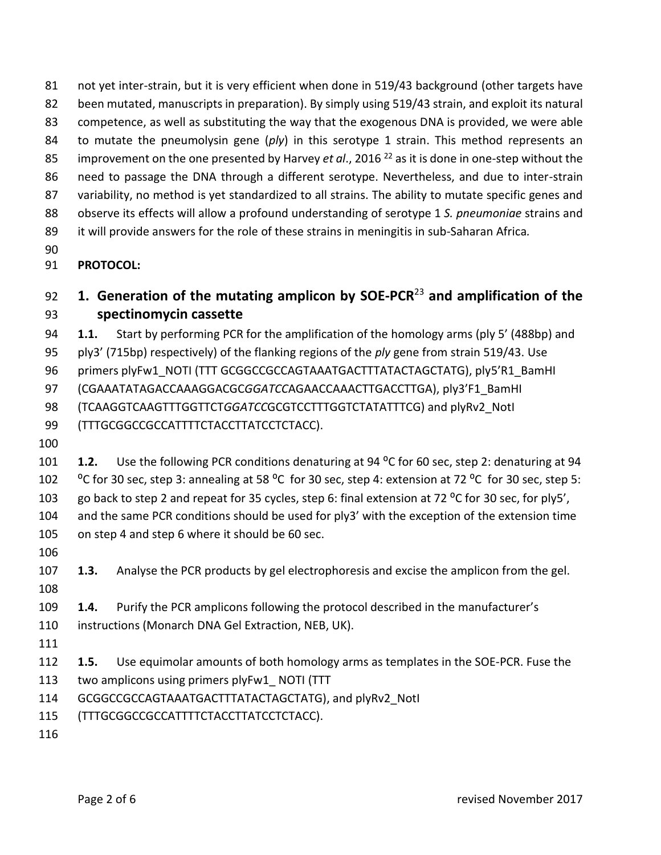been mutated, manuscripts in preparation). By simply using 519/43 strain, and exploit its natural competence, as well as substituting the way that the exogenous DNA is provided, we were able to mutate the pneumolysin gene (*ply*) in this serotype 1 strain. This method represents an 85 improvement on the one presented by Harvey *et al.*, 2016<sup>22</sup> as it is done in one-step without the need to passage the DNA through a different serotype. Nevertheless, and due to inter-strain 87 variability, no method is yet standardized to all strains. The ability to mutate specific genes and observe its effects will allow a profound understanding of serotype 1 *S. pneumoniae* strains and it will provide answers for the role of these strains in meningitis in sub-Saharan Africa*.* **PROTOCOL: 1. Generation of the mutating amplicon by SOE-PCR<sup>23</sup> and amplification of the spectinomycin cassette 1.1.** Start by performing PCR for the amplification of the homology arms (ply 5' (488bp) and ply3' (715bp) respectively) of the flanking regions of the *ply* gene from strain 519/43. Use 96 primers plyFw1\_NOTI (TTT GCGGCCGCCAGTAAATGACTTTATACTAGCTATG), ply5'R1\_BamHI

not yet inter-strain, but it is very efficient when done in 519/43 background (other targets have

(CGAAATATAGACCAAAGGACGC*GGATCC*AGAACCAAACTTGACCTTGA), ply3'F1\_BamHI

(TCAAGGTCAAGTTTGGTTCT*GGATCC*GCGTCCTTTGGTCTATATTTCG) and plyRv2\_NotI

(TTTGCGGCCGCCATTTTCTACCTTATCCTCTACC).

 **1.2.** Use the following PCR conditions denaturing at 94 ⁰C for 60 sec, step 2: denaturing at 94 102 <sup>o</sup>C for 30 sec, step 3: annealing at 58 <sup>o</sup>C for 30 sec, step 4: extension at 72 <sup>o</sup>C for 30 sec, step 5: 103 go back to step 2 and repeat for 35 cycles, step 6: final extension at 72 °C for 30 sec, for ply5', and the same PCR conditions should be used for ply3' with the exception of the extension time on step 4 and step 6 where it should be 60 sec.

 **1.3.** Analyse the PCR products by gel electrophoresis and excise the amplicon from the gel. 

- **1.4.** Purify the PCR amplicons following the protocol described in the manufacturer's instructions (Monarch DNA Gel Extraction, NEB, UK).
- 
- **1.5.** Use equimolar amounts of both homology arms as templates in the SOE-PCR. Fuse the
- 113 two amplicons using primers plyFw1\_ NOTI (TTT
- GCGGCCGCCAGTAAATGACTTTATACTAGCTATG), and plyRv2\_NotI
- (TTTGCGGCCGCCATTTTCTACCTTATCCTCTACC).
-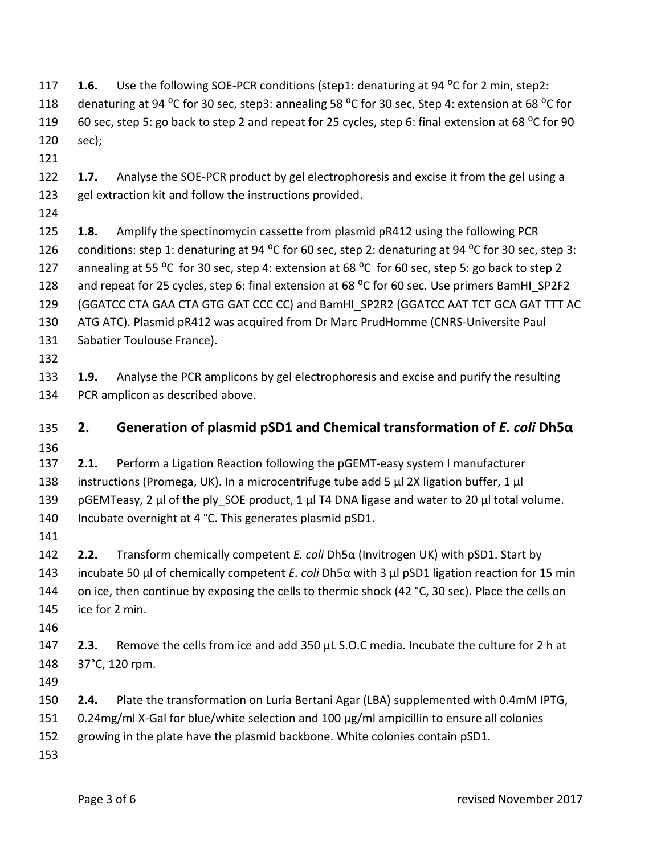<span id="page-3-0"></span>

| 117 | 1.6.                                                                                                | Use the following SOE-PCR conditions (step1: denaturing at 94 °C for 2 min, step2:                                                                                       |  |  |  |
|-----|-----------------------------------------------------------------------------------------------------|--------------------------------------------------------------------------------------------------------------------------------------------------------------------------|--|--|--|
| 118 | denaturing at 94 °C for 30 sec, step3: annealing 58 °C for 30 sec, Step 4: extension at 68 °C for   |                                                                                                                                                                          |  |  |  |
| 119 | 60 sec, step 5: go back to step 2 and repeat for 25 cycles, step 6: final extension at 68 °C for 90 |                                                                                                                                                                          |  |  |  |
| 120 | sec);                                                                                               |                                                                                                                                                                          |  |  |  |
| 121 |                                                                                                     |                                                                                                                                                                          |  |  |  |
| 122 | 1.7.                                                                                                | Analyse the SOE-PCR product by gel electrophoresis and excise it from the gel using a                                                                                    |  |  |  |
| 123 |                                                                                                     | gel extraction kit and follow the instructions provided.                                                                                                                 |  |  |  |
| 124 |                                                                                                     |                                                                                                                                                                          |  |  |  |
| 125 | 1.8.                                                                                                | Amplify the spectinomycin cassette from plasmid pR412 using the following PCR                                                                                            |  |  |  |
| 126 | conditions: step 1: denaturing at 94 °C for 60 sec, step 2: denaturing at 94 °C for 30 sec, step 3: |                                                                                                                                                                          |  |  |  |
| 127 | annealing at 55 °C for 30 sec, step 4: extension at 68 °C for 60 sec, step 5: go back to step 2     |                                                                                                                                                                          |  |  |  |
| 128 | and repeat for 25 cycles, step 6: final extension at 68 °C for 60 sec. Use primers BamHI SP2F2      |                                                                                                                                                                          |  |  |  |
| 129 | (GGATCC CTA GAA CTA GTG GAT CCC CC) and BamHI SP2R2 (GGATCC AAT TCT GCA GAT TTT AC                  |                                                                                                                                                                          |  |  |  |
| 130 | ATG ATC). Plasmid pR412 was acquired from Dr Marc PrudHomme (CNRS-Universite Paul                   |                                                                                                                                                                          |  |  |  |
| 131 | Sabatier Toulouse France).                                                                          |                                                                                                                                                                          |  |  |  |
| 132 |                                                                                                     |                                                                                                                                                                          |  |  |  |
| 133 | 1.9.                                                                                                | Analyse the PCR amplicons by gel electrophoresis and excise and purify the resulting                                                                                     |  |  |  |
| 134 |                                                                                                     | PCR amplicon as described above.                                                                                                                                         |  |  |  |
|     |                                                                                                     |                                                                                                                                                                          |  |  |  |
|     |                                                                                                     |                                                                                                                                                                          |  |  |  |
| 135 | 2.                                                                                                  | Generation of plasmid pSD1 and Chemical transformation of E. coli Dh5a                                                                                                   |  |  |  |
| 136 |                                                                                                     |                                                                                                                                                                          |  |  |  |
| 137 | 2.1.                                                                                                | Perform a Ligation Reaction following the pGEMT-easy system I manufacturer                                                                                               |  |  |  |
| 138 |                                                                                                     | instructions (Promega, UK). In a microcentrifuge tube add 5 µl 2X ligation buffer, 1 µl                                                                                  |  |  |  |
| 139 |                                                                                                     | pGEMTeasy, 2 µl of the ply SOE product, 1 µl T4 DNA ligase and water to 20 µl total volume.                                                                              |  |  |  |
| 140 |                                                                                                     | Incubate overnight at 4 °C. This generates plasmid pSD1.                                                                                                                 |  |  |  |
| 141 |                                                                                                     |                                                                                                                                                                          |  |  |  |
| 142 | 2.2.                                                                                                | Transform chemically competent <i>E. coli</i> Dh5α (Invitrogen UK) with pSD1. Start by                                                                                   |  |  |  |
| 143 |                                                                                                     | incubate 50 $\mu$ of chemically competent <i>E. coli</i> Dh5 $\alpha$ with 3 $\mu$ pSD1 ligation reaction for 15 min                                                     |  |  |  |
| 144 |                                                                                                     | on ice, then continue by exposing the cells to thermic shock (42 °C, 30 sec). Place the cells on                                                                         |  |  |  |
| 145 |                                                                                                     | ice for 2 min.                                                                                                                                                           |  |  |  |
| 146 |                                                                                                     |                                                                                                                                                                          |  |  |  |
| 147 | 2.3.                                                                                                | Remove the cells from ice and add 350 µL S.O.C media. Incubate the culture for 2 h at                                                                                    |  |  |  |
| 148 |                                                                                                     | 37°C, 120 rpm.                                                                                                                                                           |  |  |  |
| 149 |                                                                                                     |                                                                                                                                                                          |  |  |  |
| 150 | 2.4.                                                                                                | Plate the transformation on Luria Bertani Agar (LBA) supplemented with 0.4mM IPTG,                                                                                       |  |  |  |
| 151 |                                                                                                     |                                                                                                                                                                          |  |  |  |
| 152 |                                                                                                     | 0.24mg/ml X-Gal for blue/white selection and 100 µg/ml ampicillin to ensure all colonies<br>growing in the plate have the plasmid backbone. White colonies contain pSD1. |  |  |  |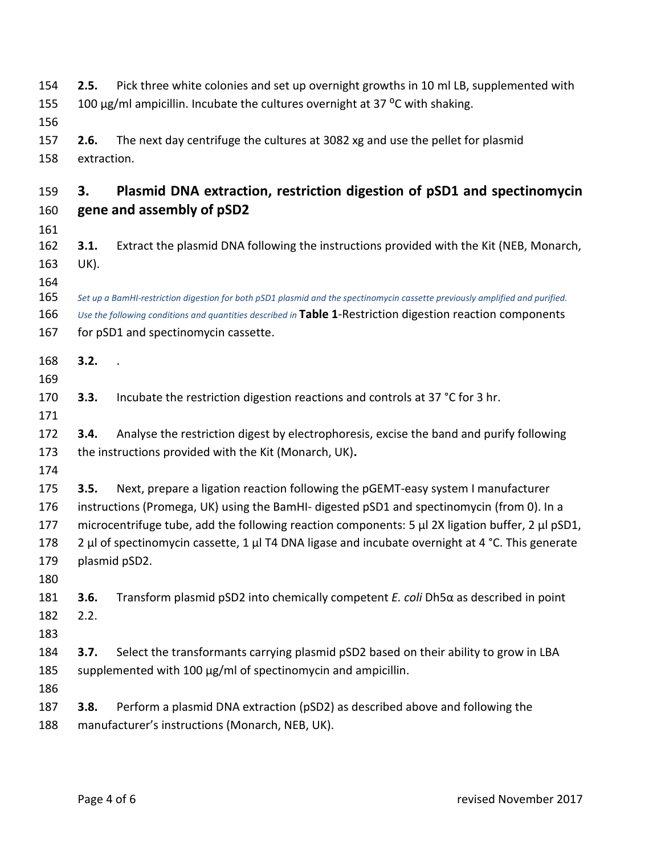<span id="page-4-0"></span>

| 154<br>155<br>156                      | 2.5.                | Pick three white colonies and set up overnight growths in 10 ml LB, supplemented with<br>100 µg/ml ampicillin. Incubate the cultures overnight at 37 °C with shaking.                                                                                                                                                                                                                                         |
|----------------------------------------|---------------------|---------------------------------------------------------------------------------------------------------------------------------------------------------------------------------------------------------------------------------------------------------------------------------------------------------------------------------------------------------------------------------------------------------------|
| 157<br>158                             | 2.6.<br>extraction. | The next day centrifuge the cultures at 3082 xg and use the pellet for plasmid                                                                                                                                                                                                                                                                                                                                |
| 159<br>160                             | З.                  | Plasmid DNA extraction, restriction digestion of pSD1 and spectinomycin<br>gene and assembly of pSD2                                                                                                                                                                                                                                                                                                          |
| 161<br>162<br>163<br>164               | 3.1.<br>UK).        | Extract the plasmid DNA following the instructions provided with the Kit (NEB, Monarch,                                                                                                                                                                                                                                                                                                                       |
| 165<br>166<br>167                      |                     | Set up a BamHI-restriction digestion for both pSD1 plasmid and the spectinomycin cassette previously amplified and purified.<br>Use the following conditions and quantities described in Table 1-Restriction digestion reaction components<br>for pSD1 and spectinomycin cassette.                                                                                                                            |
| 168<br>169                             | 3.2.                |                                                                                                                                                                                                                                                                                                                                                                                                               |
| 170<br>171                             | 3.3.                | Incubate the restriction digestion reactions and controls at 37 °C for 3 hr.                                                                                                                                                                                                                                                                                                                                  |
| 172<br>173<br>174                      | 3.4.                | Analyse the restriction digest by electrophoresis, excise the band and purify following<br>the instructions provided with the Kit (Monarch, UK).                                                                                                                                                                                                                                                              |
| 175<br>176<br>177<br>178<br>179<br>180 | 3.5.                | Next, prepare a ligation reaction following the pGEMT-easy system I manufacturer<br>instructions (Promega, UK) using the BamHI- digested pSD1 and spectinomycin (from 0). In a<br>microcentrifuge tube, add the following reaction components: $5 \mu$ 2X ligation buffer, 2 $\mu$ pSD1,<br>2 µl of spectinomycin cassette, 1 µl T4 DNA ligase and incubate overnight at 4 °C. This generate<br>plasmid pSD2. |
| 181<br>182<br>183                      | 3.6.<br>2.2.        | Transform plasmid pSD2 into chemically competent $E$ . coli Dh5 $\alpha$ as described in point                                                                                                                                                                                                                                                                                                                |
| 184<br>185<br>186                      | 3.7.                | Select the transformants carrying plasmid pSD2 based on their ability to grow in LBA<br>supplemented with 100 µg/ml of spectinomycin and ampicillin.                                                                                                                                                                                                                                                          |
| 187<br>188                             | 3.8.                | Perform a plasmid DNA extraction (pSD2) as described above and following the<br>manufacturer's instructions (Monarch, NEB, UK).                                                                                                                                                                                                                                                                               |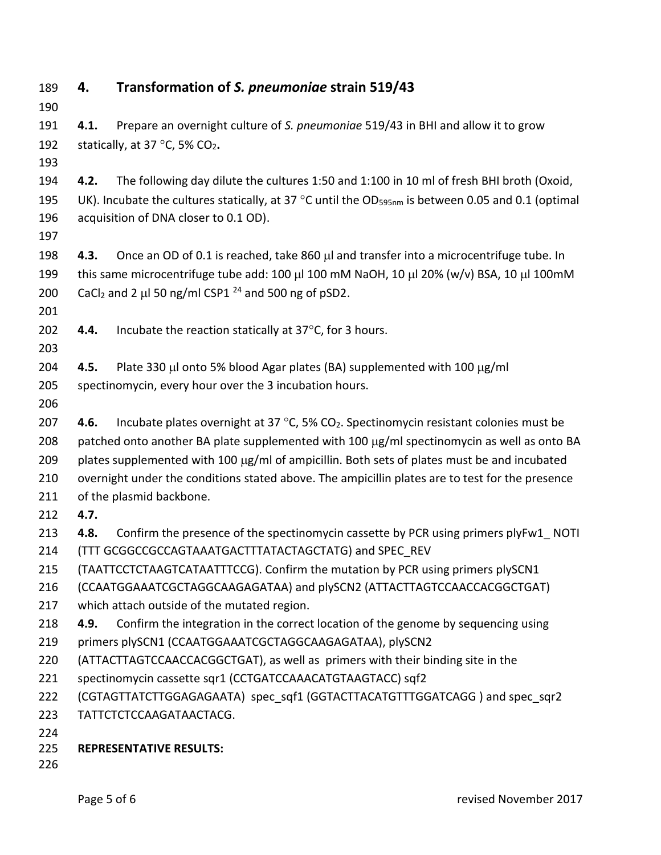| 189 | 4.                                                                                                                       | Transformation of S. pneumoniae strain 519/43                                                     |  |  |
|-----|--------------------------------------------------------------------------------------------------------------------------|---------------------------------------------------------------------------------------------------|--|--|
| 190 |                                                                                                                          |                                                                                                   |  |  |
| 191 | 4.1.                                                                                                                     | Prepare an overnight culture of S. pneumoniae 519/43 in BHI and allow it to grow                  |  |  |
| 192 | statically, at 37 °C, 5% CO2.                                                                                            |                                                                                                   |  |  |
| 193 |                                                                                                                          |                                                                                                   |  |  |
| 194 | 4.2.                                                                                                                     | The following day dilute the cultures 1:50 and 1:100 in 10 ml of fresh BHI broth (Oxoid,          |  |  |
| 195 | UK). Incubate the cultures statically, at 37 $^{\circ}$ C until the OD <sub>595nm</sub> is between 0.05 and 0.1 (optimal |                                                                                                   |  |  |
| 196 |                                                                                                                          | acquisition of DNA closer to 0.1 OD).                                                             |  |  |
| 197 |                                                                                                                          |                                                                                                   |  |  |
| 198 | 4.3.                                                                                                                     | Once an OD of 0.1 is reached, take 860 µl and transfer into a microcentrifuge tube. In            |  |  |
| 199 |                                                                                                                          | this same microcentrifuge tube add: 100 µl 100 mM NaOH, 10 µl 20% (w/v) BSA, 10 µl 100mM          |  |  |
| 200 | CaCl <sub>2</sub> and 2 µl 50 ng/ml CSP1 $^{24}$ and 500 ng of pSD2.                                                     |                                                                                                   |  |  |
| 201 |                                                                                                                          |                                                                                                   |  |  |
| 202 | 4.4.                                                                                                                     | Incubate the reaction statically at 37°C, for 3 hours.                                            |  |  |
| 203 |                                                                                                                          |                                                                                                   |  |  |
| 204 | 4.5.                                                                                                                     | Plate 330 µl onto 5% blood Agar plates (BA) supplemented with 100 µg/ml                           |  |  |
| 205 |                                                                                                                          | spectinomycin, every hour over the 3 incubation hours.                                            |  |  |
| 206 |                                                                                                                          |                                                                                                   |  |  |
| 207 | 4.6.                                                                                                                     | Incubate plates overnight at 37 °C, 5% CO <sub>2</sub> . Spectinomycin resistant colonies must be |  |  |
| 208 | patched onto another BA plate supplemented with 100 µg/ml spectinomycin as well as onto BA                               |                                                                                                   |  |  |
| 209 | plates supplemented with 100 µg/ml of ampicillin. Both sets of plates must be and incubated                              |                                                                                                   |  |  |
| 210 | overnight under the conditions stated above. The ampicillin plates are to test for the presence                          |                                                                                                   |  |  |
| 211 |                                                                                                                          | of the plasmid backbone.                                                                          |  |  |
| 212 | 4.7.                                                                                                                     |                                                                                                   |  |  |
| 213 | 4.8.                                                                                                                     | Confirm the presence of the spectinomycin cassette by PCR using primers plyFw1 NOTI               |  |  |
| 214 | (TTT GCGGCCGCCAGTAAATGACTTTATACTAGCTATG) and SPEC REV                                                                    |                                                                                                   |  |  |
| 215 | (TAATTCCTCTAAGTCATAATTTCCG). Confirm the mutation by PCR using primers plySCN1                                           |                                                                                                   |  |  |
| 216 | (CCAATGGAAATCGCTAGGCAAGAGATAA) and plySCN2 (ATTACTTAGTCCAACCACGGCTGAT)                                                   |                                                                                                   |  |  |
| 217 |                                                                                                                          | which attach outside of the mutated region.                                                       |  |  |
| 218 | 4.9.                                                                                                                     | Confirm the integration in the correct location of the genome by sequencing using                 |  |  |
| 219 |                                                                                                                          | primers plySCN1 (CCAATGGAAATCGCTAGGCAAGAGATAA), plySCN2                                           |  |  |
| 220 | (ATTACTTAGTCCAACCACGGCTGAT), as well as primers with their binding site in the                                           |                                                                                                   |  |  |
| 221 | spectinomycin cassette sqr1 (CCTGATCCAAACATGTAAGTACC) sqf2                                                               |                                                                                                   |  |  |
| 222 |                                                                                                                          | (CGTAGTTATCTTGGAGAGAATA) spec sqf1 (GGTACTTACATGTTTGGATCAGG) and spec sqr2                        |  |  |
| 223 |                                                                                                                          | TATTCTCTCCAAGATAACTACG.                                                                           |  |  |
| 224 |                                                                                                                          |                                                                                                   |  |  |
| 225 |                                                                                                                          | <b>REPRESENTATIVE RESULTS:</b>                                                                    |  |  |
| 226 |                                                                                                                          |                                                                                                   |  |  |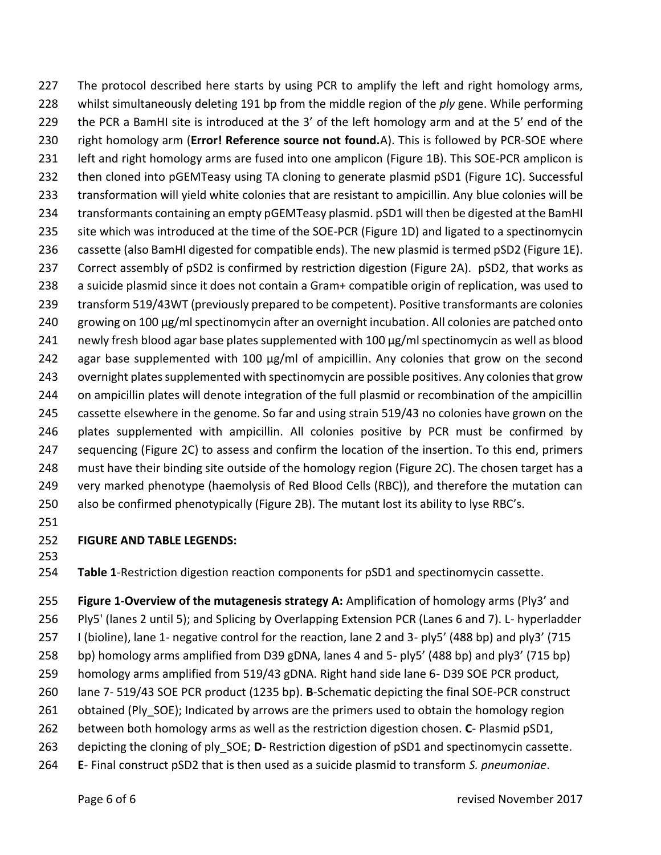227 The protocol described here starts by using PCR to amplify the left and right homology arms, whilst simultaneously deleting 191 bp from the middle region of the *ply* gene. While performing the PCR a BamHI site is introduced at the 3' of the left homology arm and at the 5' end of the right homology arm (**Error! Reference source not found.**A). This is followed by PCR-SOE where left and right homology arms are fused into one amplicon (Figure 1B). This SOE-PCR amplicon is then cloned into pGEMTeasy using TA cloning to generate plasmid pSD1 (Figure 1C). Successful transformation will yield white colonies that are resistant to ampicillin. Any blue colonies will be transformants containing an empty pGEMTeasy plasmid. pSD1 will then be digested at the BamHI 235 site which was introduced at the time of the SOE-PCR (Figure 1D) and ligated to a spectinomycin cassette (also BamHI digested for compatible ends). The new plasmid is termed pSD2 (Figure 1E). Correct assembly of pSD2 is confirmed by restriction digestion (Figure 2A). pSD2, that works as a suicide plasmid since it does not contain a Gram+ compatible origin of replication, was used to transform 519/43WT (previously prepared to be competent). Positive transformants are colonies growing on 100 µg/ml spectinomycin after an overnight incubation. All colonies are patched onto 241 newly fresh blood agar base plates supplemented with 100  $\mu$ g/ml spectinomycin as well as blood 242 agar base supplemented with 100  $\mu$ g/ml of ampicillin. Any colonies that grow on the second overnight plates supplemented with spectinomycin are possible positives. Any colonies that grow on ampicillin plates will denote integration of the full plasmid or recombination of the ampicillin cassette elsewhere in the genome. So far and using strain 519/43 no colonies have grown on the plates supplemented with ampicillin. All colonies positive by PCR must be confirmed by sequencing (Figure 2C) to assess and confirm the location of the insertion. To this end, primers must have their binding site outside of the homology region (Figure 2C). The chosen target has a very marked phenotype (haemolysis of Red Blood Cells (RBC)), and therefore the mutation can also be confirmed phenotypically (Figure 2B). The mutant lost its ability to lyse RBC's.

- 
- **FIGURE AND TABLE LEGENDS:**
- 

<span id="page-6-0"></span>**Table 1**-Restriction digestion reaction components for pSD1 and spectinomycin cassette.

 **Figure 1-Overview of the mutagenesis strategy A:** Amplification of homology arms (Ply3' and Ply5' (lanes 2 until 5); and Splicing by Overlapping Extension PCR (Lanes 6 and 7). L- hyperladder I (bioline), lane 1- negative control for the reaction, lane 2 and 3- ply5' (488 bp) and ply3' (715 bp) homology arms amplified from D39 gDNA, lanes 4 and 5- ply5' (488 bp) and ply3' (715 bp) homology arms amplified from 519/43 gDNA. Right hand side lane 6- D39 SOE PCR product, lane 7- 519/43 SOE PCR product (1235 bp). **B**-Schematic depicting the final SOE-PCR construct obtained (Ply\_SOE); Indicated by arrows are the primers used to obtain the homology region between both homology arms as well as the restriction digestion chosen. **C**- Plasmid pSD1, depicting the cloning of ply\_SOE; **D**- Restriction digestion of pSD1 and spectinomycin cassette.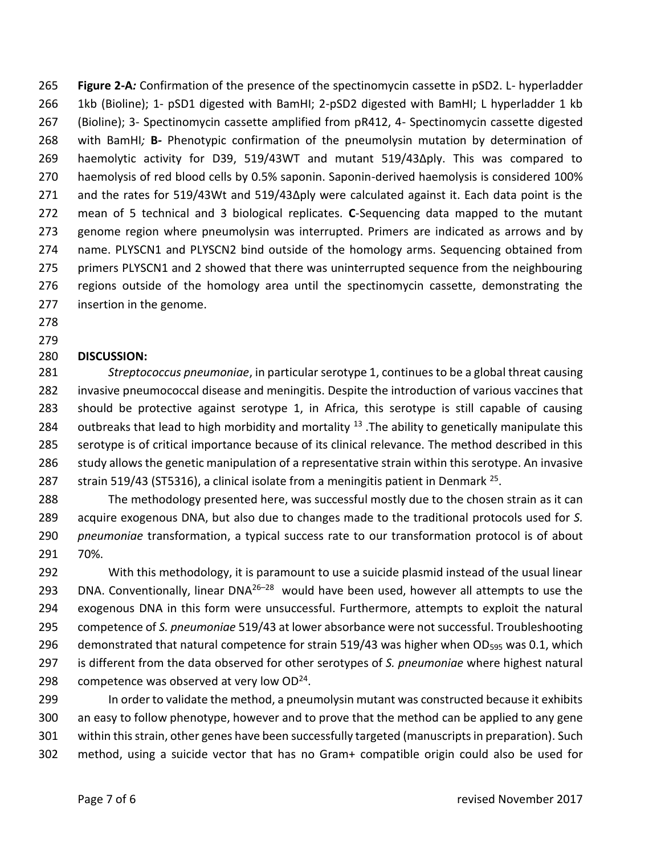**Figure 2-A***:* Confirmation of the presence of the spectinomycin cassette in pSD2. L- hyperladder 1kb (Bioline); 1- pSD1 digested with BamHI; 2-pSD2 digested with BamHI; L hyperladder 1 kb (Bioline); 3- Spectinomycin cassette amplified from pR412, 4- Spectinomycin cassette digested with BamHI*;* **B***-* Phenotypic confirmation of the pneumolysin mutation by determination of haemolytic activity for D39, 519/43WT and mutant 519/43Δply. This was compared to haemolysis of red blood cells by 0.5% saponin. Saponin-derived haemolysis is considered 100% and the rates for 519/43Wt and 519/43Δply were calculated against it. Each data point is the mean of 5 technical and 3 biological replicates. **C**-Sequencing data mapped to the mutant genome region where pneumolysin was interrupted. Primers are indicated as arrows and by name. PLYSCN1 and PLYSCN2 bind outside of the homology arms. Sequencing obtained from primers PLYSCN1 and 2 showed that there was uninterrupted sequence from the neighbouring regions outside of the homology area until the spectinomycin cassette, demonstrating the insertion in the genome.

# 

#### **DISCUSSION:**

 *Streptococcus pneumoniae*, in particularserotype 1, continues to be a global threat causing invasive pneumococcal disease and meningitis. Despite the introduction of various vaccines that should be protective against serotype 1, in Africa, this serotype is still capable of causing 284 outbreaks that lead to high morbidity and mortality  $^{13}$  . The ability to genetically manipulate this serotype is of critical importance because of its clinical relevance. The method described in this study allows the genetic manipulation of a representative strain within this serotype. An invasive 287 strain 519/43 (ST5316), a clinical isolate from a meningitis patient in Denmark .

 The methodology presented here, was successful mostly due to the chosen strain as it can acquire exogenous DNA, but also due to changes made to the traditional protocols used for *S. pneumoniae* transformation, a typical success rate to our transformation protocol is of about 70%.

 With this methodology, it is paramount to use a suicide plasmid instead of the usual linear 293 DNA. Conventionally, linear DNA $^{26-28}$  would have been used, however all attempts to use the exogenous DNA in this form were unsuccessful. Furthermore, attempts to exploit the natural competence of *S. pneumoniae* 519/43 at lower absorbance were not successful. Troubleshooting 296 demonstrated that natural competence for strain 519/43 was higher when OD<sub>595</sub> was 0.1, which is different from the data observed for other serotypes of *S. pneumoniae* where highest natural 298 competence was observed at very low  $OD^{24}$ .

 In order to validate the method, a pneumolysin mutant was constructed because it exhibits an easy to follow phenotype, however and to prove that the method can be applied to any gene within this strain, other genes have been successfully targeted (manuscripts in preparation). Such method, using a suicide vector that has no Gram+ compatible origin could also be used for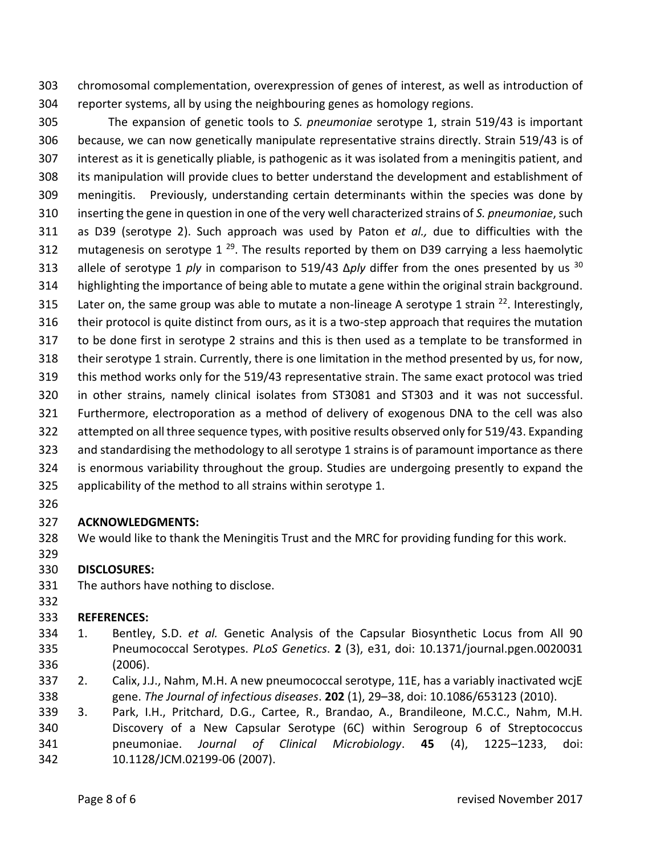chromosomal complementation, overexpression of genes of interest, as well as introduction of reporter systems, all by using the neighbouring genes as homology regions.

 The expansion of genetic tools to *S. pneumoniae* serotype 1, strain 519/43 is important because, we can now genetically manipulate representative strains directly. Strain 519/43 is of interest as it is genetically pliable, is pathogenic as it was isolated from a meningitis patient, and its manipulation will provide clues to better understand the development and establishment of meningitis. Previously, understanding certain determinants within the species was done by inserting the gene in question in one of the very well characterized strains of *S. pneumoniae*, such as D39 (serotype 2). Such approach was used by Paton e*t al.,* due to difficulties with the 312 mutagenesis on serotype 1 $^{29}$ . The results reported by them on D39 carrying a less haemolytic allele of serotype 1 *ply* in comparison to 519/43 Δ*ply* differ from the ones presented by us <sup>30</sup> highlighting the importance of being able to mutate a gene within the original strain background. 315 Later on, the same group was able to mutate a non-lineage A serotype 1 strain <sup>22</sup>. Interestingly, their protocol is quite distinct from ours, as it is a two-step approach that requires the mutation to be done first in serotype 2 strains and this is then used as a template to be transformed in their serotype 1 strain. Currently, there is one limitation in the method presented by us, for now, this method works only for the 519/43 representative strain. The same exact protocol was tried in other strains, namely clinical isolates from ST3081 and ST303 and it was not successful. Furthermore, electroporation as a method of delivery of exogenous DNA to the cell was also attempted on all three sequence types, with positive results observed only for 519/43. Expanding and standardising the methodology to all serotype 1 strains is of paramount importance as there is enormous variability throughout the group. Studies are undergoing presently to expand the applicability of the method to all strains within serotype 1.

#### **ACKNOWLEDGMENTS:**

We would like to thank the Meningitis Trust and the MRC for providing funding for this work.

#### **DISCLOSURES:**

The authors have nothing to disclose.

#### **REFERENCES:**

- 1. Bentley, S.D. *et al.* Genetic Analysis of the Capsular Biosynthetic Locus from All 90 Pneumococcal Serotypes. *PLoS Genetics*. **2** (3), e31, doi: 10.1371/journal.pgen.0020031 (2006).
- 2. Calix, J.J., Nahm, M.H. A new pneumococcal serotype, 11E, has a variably inactivated wcjE gene. *The Journal of infectious diseases*. **202** (1), 29–38, doi: 10.1086/653123 (2010).
- 3. Park, I.H., Pritchard, D.G., Cartee, R., Brandao, A., Brandileone, M.C.C., Nahm, M.H. Discovery of a New Capsular Serotype (6C) within Serogroup 6 of Streptococcus pneumoniae. *Journal of Clinical Microbiology*. **45** (4), 1225–1233, doi: 10.1128/JCM.02199-06 (2007).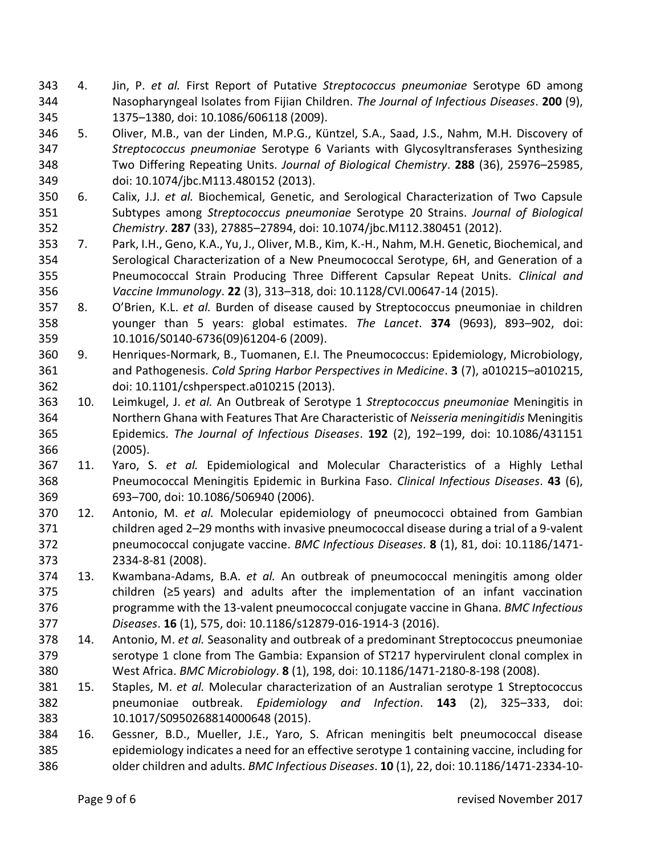- 4. Jin, P. *et al.* First Report of Putative *Streptococcus pneumoniae* Serotype 6D among Nasopharyngeal Isolates from Fijian Children. *The Journal of Infectious Diseases*. **200** (9), 1375–1380, doi: 10.1086/606118 (2009).
- 5. Oliver, M.B., van der Linden, M.P.G., Küntzel, S.A., Saad, J.S., Nahm, M.H. Discovery of *Streptococcus pneumoniae* Serotype 6 Variants with Glycosyltransferases Synthesizing Two Differing Repeating Units. *Journal of Biological Chemistry*. **288** (36), 25976–25985, doi: 10.1074/jbc.M113.480152 (2013).
- 6. Calix, J.J. *et al.* Biochemical, Genetic, and Serological Characterization of Two Capsule Subtypes among *Streptococcus pneumoniae* Serotype 20 Strains. *Journal of Biological Chemistry*. **287** (33), 27885–27894, doi: 10.1074/jbc.M112.380451 (2012).
- 7. Park, I.H., Geno, K.A., Yu, J., Oliver, M.B., Kim, K.-H., Nahm, M.H. Genetic, Biochemical, and Serological Characterization of a New Pneumococcal Serotype, 6H, and Generation of a Pneumococcal Strain Producing Three Different Capsular Repeat Units. *Clinical and Vaccine Immunology*. **22** (3), 313–318, doi: 10.1128/CVI.00647-14 (2015).
- 8. O'Brien, K.L. *et al.* Burden of disease caused by Streptococcus pneumoniae in children younger than 5 years: global estimates. *The Lancet*. **374** (9693), 893–902, doi: 10.1016/S0140-6736(09)61204-6 (2009).
- 9. Henriques-Normark, B., Tuomanen, E.I. The Pneumococcus: Epidemiology, Microbiology, and Pathogenesis. *Cold Spring Harbor Perspectives in Medicine*. **3** (7), a010215–a010215, doi: 10.1101/cshperspect.a010215 (2013).
- 10. Leimkugel, J. *et al.* An Outbreak of Serotype 1 *Streptococcus pneumoniae* Meningitis in Northern Ghana with Features That Are Characteristic of *Neisseria meningitidis* Meningitis Epidemics. *The Journal of Infectious Diseases*. **192** (2), 192–199, doi: 10.1086/431151 (2005).
- 11. Yaro, S. *et al.* Epidemiological and Molecular Characteristics of a Highly Lethal Pneumococcal Meningitis Epidemic in Burkina Faso. *Clinical Infectious Diseases*. **43** (6), 693–700, doi: 10.1086/506940 (2006).
- 12. Antonio, M. *et al.* Molecular epidemiology of pneumococci obtained from Gambian children aged 2–29 months with invasive pneumococcal disease during a trial of a 9-valent pneumococcal conjugate vaccine. *BMC Infectious Diseases*. **8** (1), 81, doi: 10.1186/1471- 2334-8-81 (2008).
- 13. Kwambana-Adams, B.A. *et al.* An outbreak of pneumococcal meningitis among older children (≥5 years) and adults after the implementation of an infant vaccination programme with the 13-valent pneumococcal conjugate vaccine in Ghana. *BMC Infectious Diseases*. **16** (1), 575, doi: 10.1186/s12879-016-1914-3 (2016).
- 14. Antonio, M. *et al.* Seasonality and outbreak of a predominant Streptococcus pneumoniae serotype 1 clone from The Gambia: Expansion of ST217 hypervirulent clonal complex in West Africa. *BMC Microbiology*. **8** (1), 198, doi: 10.1186/1471-2180-8-198 (2008).
- 15. Staples, M. *et al.* Molecular characterization of an Australian serotype 1 Streptococcus pneumoniae outbreak. *Epidemiology and Infection*. **143** (2), 325–333, doi: 10.1017/S0950268814000648 (2015).
- 16. Gessner, B.D., Mueller, J.E., Yaro, S. African meningitis belt pneumococcal disease epidemiology indicates a need for an effective serotype 1 containing vaccine, including for older children and adults. *BMC Infectious Diseases*. **10** (1), 22, doi: 10.1186/1471-2334-10-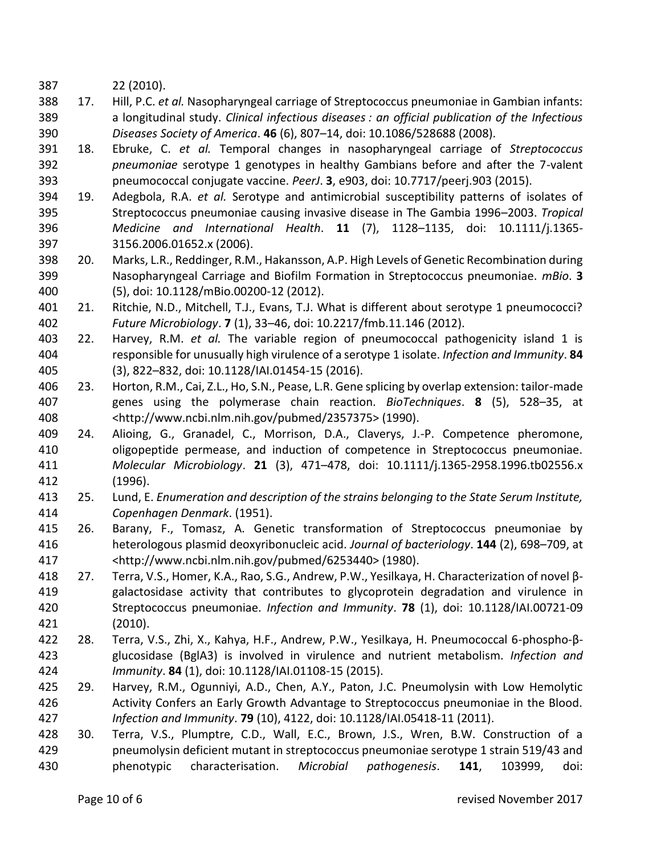22 (2010).

- 17. Hill, P.C. *et al.* Nasopharyngeal carriage of Streptococcus pneumoniae in Gambian infants: a longitudinal study. *Clinical infectious diseases : an official publication of the Infectious Diseases Society of America*. **46** (6), 807–14, doi: 10.1086/528688 (2008).
- 18. Ebruke, C. *et al.* Temporal changes in nasopharyngeal carriage of *Streptococcus pneumoniae* serotype 1 genotypes in healthy Gambians before and after the 7-valent pneumococcal conjugate vaccine. *PeerJ*. **3**, e903, doi: 10.7717/peerj.903 (2015).
- 19. Adegbola, R.A. *et al.* Serotype and antimicrobial susceptibility patterns of isolates of Streptococcus pneumoniae causing invasive disease in The Gambia 1996–2003. *Tropical Medicine and International Health*. **11** (7), 1128–1135, doi: 10.1111/j.1365- 3156.2006.01652.x (2006).
- 20. Marks, L.R., Reddinger, R.M., Hakansson, A.P. High Levels of Genetic Recombination during Nasopharyngeal Carriage and Biofilm Formation in Streptococcus pneumoniae. *mBio*. **3** (5), doi: 10.1128/mBio.00200-12 (2012).
- 21. Ritchie, N.D., Mitchell, T.J., Evans, T.J. What is different about serotype 1 pneumococci? *Future Microbiology*. **7** (1), 33–46, doi: 10.2217/fmb.11.146 (2012).
- 22. Harvey, R.M. *et al.* The variable region of pneumococcal pathogenicity island 1 is responsible for unusually high virulence of a serotype 1 isolate. *Infection and Immunity*. **84** (3), 822–832, doi: 10.1128/IAI.01454-15 (2016).
- 23. Horton, R.M., Cai, Z.L., Ho, S.N., Pease, L.R. Gene splicing by overlap extension: tailor-made genes using the polymerase chain reaction. *BioTechniques*. **8** (5), 528–35, at <http://www.ncbi.nlm.nih.gov/pubmed/2357375> (1990).
- 24. Alioing, G., Granadel, C., Morrison, D.A., Claverys, J.-P. Competence pheromone, oligopeptide permease, and induction of competence in Streptococcus pneumoniae. *Molecular Microbiology*. **21** (3), 471–478, doi: 10.1111/j.1365-2958.1996.tb02556.x (1996).
- 25. Lund, E. *Enumeration and description of the strains belonging to the State Serum Institute, Copenhagen Denmark*. (1951).
- 26. Barany, F., Tomasz, A. Genetic transformation of Streptococcus pneumoniae by heterologous plasmid deoxyribonucleic acid. *Journal of bacteriology*. **144** (2), 698–709, at <http://www.ncbi.nlm.nih.gov/pubmed/6253440> (1980).
- 27. Terra, V.S., Homer, K.A., Rao, S.G., Andrew, P.W., Yesilkaya, H. Characterization of novel β- galactosidase activity that contributes to glycoprotein degradation and virulence in Streptococcus pneumoniae. *Infection and Immunity*. **78** (1), doi: 10.1128/IAI.00721-09 (2010).
- 28. Terra, V.S., Zhi, X., Kahya, H.F., Andrew, P.W., Yesilkaya, H. Pneumococcal 6-phospho-β- glucosidase (BglA3) is involved in virulence and nutrient metabolism. *Infection and Immunity*. **84** (1), doi: 10.1128/IAI.01108-15 (2015).
- 29. Harvey, R.M., Ogunniyi, A.D., Chen, A.Y., Paton, J.C. Pneumolysin with Low Hemolytic Activity Confers an Early Growth Advantage to Streptococcus pneumoniae in the Blood. *Infection and Immunity*. **79** (10), 4122, doi: 10.1128/IAI.05418-11 (2011).
- 30. Terra, V.S., Plumptre, C.D., Wall, E.C., Brown, J.S., Wren, B.W. Construction of a pneumolysin deficient mutant in streptococcus pneumoniae serotype 1 strain 519/43 and phenotypic characterisation. *Microbial pathogenesis*. **141**, 103999, doi: